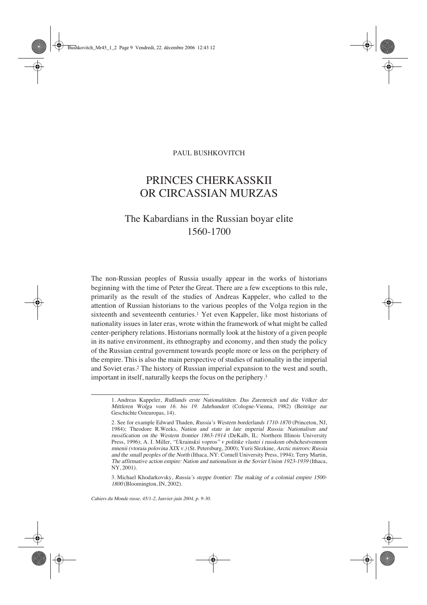# PRINCES CHERKASSKII OR CIRCASSIAN MURZAS

# The Kabardians in the Russian boyar elite 1560-1700

The non-Russian peoples of Russia usually appear in the works of historians beginning with the time of Peter the Great. There are a few exceptions to this rule, primarily as the result of the studies of Andreas Kappeler, who called to the attention of Russian historians to the various peoples of the Volga region in the sixteenth and seventeenth centuries.<sup>1</sup> Yet even Kappeler, like most historians of nationality issues in later eras, wrote within the framework of what might be called center-periphery relations. Historians normally look at the history of a given people in its native environment, its ethnography and economy, and then study the policy of the Russian central government towards people more or less on the periphery of the empire. This is also the main perspective of studies of nationality in the imperial and Soviet eras.2 The history of Russian imperial expansion to the west and south, important in itself, naturally keeps the focus on the periphery.3

Cahiers du Monde russe, 45/1-2, Janvier-juin 2004, p. 9-30.

<sup>1.</sup> Andreas Kappeler, Rußlands erste Nationalitäten. Das Zarenreich und die Völker der Mittleren Wolga vom 16. bis 19. Jahrhundert (Cologne-Vienna, 1982) (Beiträge zur Geschichte Osteuropas, 14).

<sup>2.</sup> See for example Edward Thaden, Russia's Western borderlands 1710-1870 (Princeton, NJ, 1984); Theodore R.Weeks, Nation and state in late imperial Russia: Nationalism and russification on the Western frontier 1863-1914 (DeKalb, IL: Northern Illinois University Press, 1996); A. I. Miller, "Ukrainskii vopros" v politike vlastei i russkom obshchestvennom mnenii (vtoraia polovina XIX v.) (St. Petersburg, 2000); Yurii Slezkine, Arctic mirrors: Russia and the small peoples of the North (Ithaca, NY: Cornell University Press, 1994); Terry Martin, The affirmative action empire: Nation and nationalism in the Soviet Union 1923-1939 (Ithaca, NY, 2001).

<sup>3.</sup> Michael Khodarkovsky, Russia's steppe frontier: The making of a colonial empire 1500- <sup>1800</sup> (Bloomington, IN, 2002).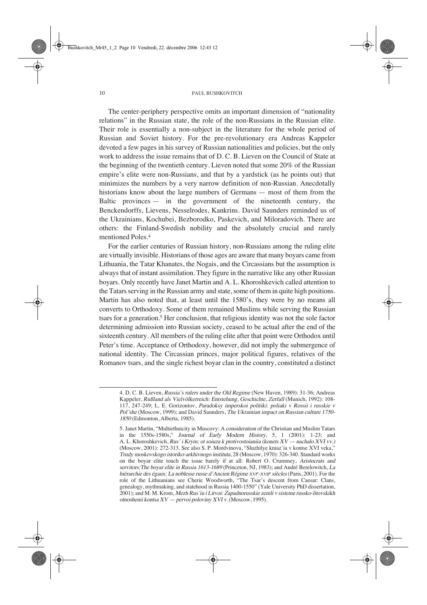The center-periphery perspective omits an important dimension of "nationality relations" in the Russian state, the role of the non-Russians in the Russian elite. Their role is essentially a non-subject in the literature for the whole period of Russian and Soviet history. For the pre-revolutionary era Andreas Kappeler devoted a few pages in his survey of Russian nationalities and policies, but the only work to address the issue remains that of D. C. B. Lieven on the Council of State at the beginning of the twentieth century. Lieven noted that some 20% of the Russian empire's elite were non-Russians, and that by a yardstick (as he points out) that minimizes the numbers by a very narrow definition of non-Russian. Anecdotally historians know about the large numbers of Germans — most of them from the Baltic provinces — in the government of the nineteenth century, the Benckendorffs, Lievens, Nesselrodes, Kankrins. David Saunders reminded us of the Ukrainians, Kochubei, Bezborodko, Paskevich, and Miloradovich. There are others: the Finland-Swedish nobility and the absolutely crucial and rarely mentioned Poles.4

For the earlier centuries of Russian history, non-Russians among the ruling elite are virtually invisible. Historians of those ages are aware that many boyars came from Lithuania, the Tatar Khanates, the Nogais, and the Circassians but the assumption is always that of instant assimilation. They figure in the narrative like any other Russian boyars. Only recently have Janet Martin and A. L. Khoroshkevich called attention to the Tatars serving in the Russian army and state, some of them in quite high positions. Martin has also noted that, at least until the 1580's, they were by no means all converts to Orthodoxy. Some of them remained Muslims while serving the Russian tsars for a generation.<sup>5</sup> Her conclusion, that religious identity was not the sole factor determining admission into Russian society, ceased to be actual after the end of the sixteenth century. All members of the ruling elite after that point were Orthodox until Peter's time. Acceptance of Orthodoxy, however, did not imply the submergence of national identity. The Circassian princes, major political figures, relatives of the Romanov tsars, and the single richest boyar clan in the country, constituted a distinct

<sup>4.</sup> D. C. B. Lieven, Russia's rulers under the Old Regime (New Haven, 1989): 31-36; Andreas Kappeler, Rußland als Vielvölkerreich: Entstehung, Geschichte, Zerfall (Munich, 1992): 108- 117, 247-249; L. E. Gorizontov, Paradoksy imperskoi politiki: poliaki v Rossii i russkie v Pol´she (Moscow, 1999); and David Saunders, The Ukrainian impact on Russian culture 1750- <sup>1850</sup> (Edmonton, Alberta, 1985).

<sup>5.</sup> Janet Martin, "Multiethnicity in Muscovy: A consideration of the Christian and Muslim Tatars in the 1550s-1580s," Journal of Early Modern History, 5, 1 (2001): 1-23; and A. L. Khoroshkevich, Rus´ i Krym: ot soiuza k protivostoianiia (konets XV — nachalo XVI vv.) (Moscow, 2001): 272-313. See also S. P. Mordvinova, "Sluzhilye kniaz'ia v kontse XVI veka," Trudy moskovskogo istoriko-arkhivnogo instituta, 28 (Moscow, 1970): 326-340. Standard works on the boyar elite touch the issue barely if at all: Robert O. Crummey, Aristocrats and servitors: The boyar elite in Russia 1613-1689 (Princeton, NJ, 1983); and André Berelowitch, La hiérarchie des égaux: La noblesse russe d'Ancien Régime XVIe-XVIIe siècles (Paris, 2001). For the role of the Lithuanians see Cherie Woodworth, "The Tsar's descent from Caesar: Clans, genealogy, mythmaking, and statehood in Russia 1400-1550" (Yale University PhD dissertation, 2001); and M. M. Krom, Mezh Rus´iu i Litvoi: Zapadnorusskie zemli v sisteme russko-litovskikh otnoshenii kontsa XV — pervoi poloviny XVI v. (Moscow, 1995).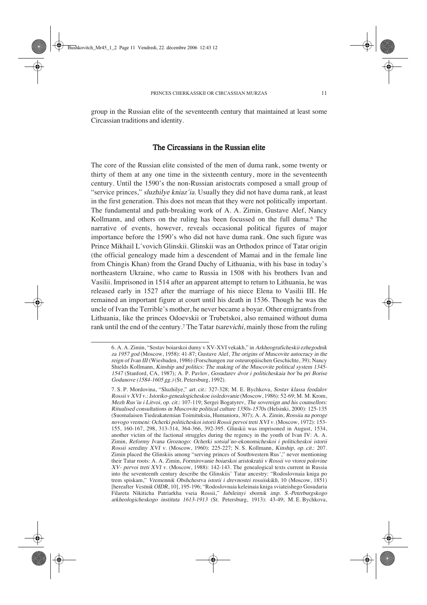group in the Russian elite of the seventeenth century that maintained at least some Circassian traditions and identity.

# The Circassians in the Russian elite

The core of the Russian elite consisted of the men of duma rank, some twenty or thirty of them at any one time in the sixteenth century, more in the seventeenth century. Until the 1590's the non-Russian aristocrats composed a small group of "service princes," sluzhilye kniaz'ia. Usually they did not have duma rank, at least in the first generation. This does not mean that they were not politically important. The fundamental and path-breaking work of A. A. Zimin, Gustave Alef, Nancy Kollmann, and others on the ruling has been focussed on the full duma.<sup>6</sup> The narrative of events, however, reveals occasional political figures of major importance before the 1590's who did not have duma rank. One such figure was Prince Mikhail L´vovich Glinskii. Glinskii was an Orthodox prince of Tatar origin (the official genealogy made him a descendent of Mamai and in the female line from Chingis Khan) from the Grand Duchy of Lithuania, with his base in today's northeastern Ukraine, who came to Russia in 1508 with his brothers Ivan and Vasilii. Imprisoned in 1514 after an apparent attempt to return to Lithuania, he was released early in 1527 after the marriage of his niece Elena to Vasilii III. He remained an important figure at court until his death in 1536. Though he was the uncle of Ivan the Terrible's mother, he never became a boyar. Other emigrants from Lithuania, like the princes Odoevskii or Trubetskoi, also remained without duma rank until the end of the century.<sup>7</sup> The Tatar *tsarevichi*, mainly those from the ruling

<sup>6.</sup> A. A. Zimin, "Sostav boiarskoi dumy v XV-XVI vekakh," in Arkheograficheskii ezhegodnik za 1957 god (Moscow, 1958): 41-87; Gustave Alef, The origins of Muscovite autocracy in the reign of Ivan III (Wiesbaden, 1986) (Forschungen zur osteuropäischen Geschichte, 39); Nancy Shields Kollmann, Kinship and politics: The making of the Muscovite political system 1345- <sup>1547</sup>(Stanford, CA, 1987); A. P. Pavlov, Gosudarev dvor i politicheskaia bor´ba pri Borise Godunove (1584-1605 gg.) (St. Petersburg, 1992).

<sup>7.</sup> S. P. Mordovina, "Sluzhilye," art. cit.: 327-328; M. E. Bychkova, Sostav klassa feodalov Rossii v XVI v.: Istoriko-genealogicheskoe issledovanie (Moscow, 1986): 52-69; M.-M. Krom, Mezh Rus'iu i Litvoi, op. cit.: 107-119; Sergei Bogatyrev, The sovereign and his counsellors: Ritualised consultations in Muscovite political culture 1350s-1570s (Helsinki, 2000): 125-135 (Suomalaisen Tiedeakatemian Toimituksia, Humaniora, 307); A. A. Zimin, Rossiia na poroge novogo vremeni: Ocherki politicheskoi istorii Rossii pervoi treti XVI v. (Moscow, 1972): 153- 155, 160-167, 298, 313-314, 364-366, 392-395. Glinskii was imprisoned in August, 1534, another victim of the factional struggles during the regency in the youth of Ivan IV: A. A. Zimin, Reformy Ivana Groznogo: Ocherki sotsial´no-ekonomicheskoi i politicheskoi istorii Rossii serediny XVI v. (Moscow, 1960): 225-227; N. S. Kollmann, Kinship, op. cit.: 207. Zimin placed the Glinskiis among "serving princes of Southwestern Rus´," never mentioning their Tatar roots: A. A. Zimin, Formirovanie boiarskoi aristokratii v Rossii vo vtoroi polovine XV- pervoi treti XVI v. (Moscow, 1988): 142-143. The genealogical texts current in Russia into the seventeenth century describe the Glinskiis' Tatar ancestry: "Rodoslovnaia kniga po trem spiskam," Vremennik Obshchestva istorii i drevnostei rossiiskikh, 10 (Moscow, 1851) [hereafter Vestnik OIDR, 10], 195-196; "Rodoslovnaia keleinaia kniga sviateishego Gosudaria Filareta Nikiticha Patriarkha vseia Rossii," Iubileinyi sbornik imp. S.-Peterburgskogo arkheologicheskogo instituta 1613-1913 (St. Petersburg, 1913): 43-49; M. E. Bychkova,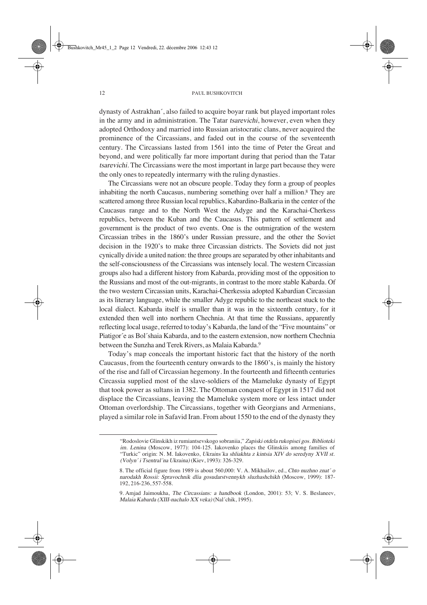dynasty of Astrakhan´, also failed to acquire boyar rank but played important roles in the army and in administration. The Tatar tsarevichi, however, even when they adopted Orthodoxy and married into Russian aristocratic clans, never acquired the prominence of the Circassians, and faded out in the course of the seventeenth century. The Circassians lasted from 1561 into the time of Peter the Great and beyond, and were politically far more important during that period than the Tatar tsarevichi. The Circassians were the most important in large part because they were the only ones to repeatedly intermarry with the ruling dynasties.

The Circassians were not an obscure people. Today they form a group of peoples inhabiting the north Caucasus, numbering something over half a million.8 They are scattered among three Russian local republics, Kabardino-Balkaria in the center of the Caucasus range and to the North West the Adyge and the Karachai-Cherkess republics, between the Kuban and the Caucasus. This pattern of settlement and government is the product of two events. One is the outmigration of the western Circassian tribes in the 1860's under Russian pressure, and the other the Soviet decision in the 1920's to make three Circassian districts. The Soviets did not just cynically divide a united nation: the three groups are separated by other inhabitants and the self-consciousness of the Circassians was intensely local. The western Circassian groups also had a different history from Kabarda, providing most of the opposition to the Russians and most of the out-migrants, in contrast to the more stable Kabarda. Of the two western Circassian units, Karachai-Cherkessia adopted Kabardian Circassian as its literary language, while the smaller Adyge republic to the northeast stuck to the local dialect. Kabarda itself is smaller than it was in the sixteenth century, for it extended then well into northern Chechnia. At that time the Russians, apparently reflecting local usage, referred to today's Kabarda, the land of the "Five mountains" or Piatigor´e as Bol´shaia Kabarda, and to the eastern extension, now northern Chechnia between the Sunzha and Terek Rivers, as Malaia Kabarda.9

Today's map conceals the important historic fact that the history of the north Caucasus, from the fourteenth century onwards to the 1860's, is mainly the history of the rise and fall of Circassian hegemony. In the fourteenth and fifteenth centuries Circassia supplied most of the slave-soldiers of the Mameluke dynasty of Egypt that took power as sultans in 1382. The Ottoman conquest of Egypt in 1517 did not displace the Circassians, leaving the Mameluke system more or less intact under Ottoman overlordship. The Circassians, together with Georgians and Armenians, played a similar role in Safavid Iran. From about 1550 to the end of the dynasty they

<sup>&</sup>quot;Rodoslovie Glinskikh iz rumiantsevskogo sobraniia," Zapiski otdela rukopisei gos. Biblioteki im. Lenina (Moscow, 1977): 104-125. Iakovenko places the Glinskiis among families of "Turkic" origin: N. M. Iakovenko, Ukrains´ka shliakhta z kintsia XIV do seredyny XVII st. (Volyn´ i Tsentral´na Ukraina) (Kiev, 1993): 326-329.

<sup>8.</sup> The official figure from 1989 is about 560,000: V. A. Mikhailov, ed., Chto nuzhno znat´ o narodakh Rossii: Spravochnik dlia gosudarstvennykh sluzhashchikh (Moscow, 1999): 187- 192, 216-236, 557-558.

<sup>9.</sup> Amjad Jaimoukha, The Circassians: a handbook (London, 2001): 53; V. S. Beslaneev, Malaia Kabarda (XIII-nachalo XX veka) (Nal´chik, 1995).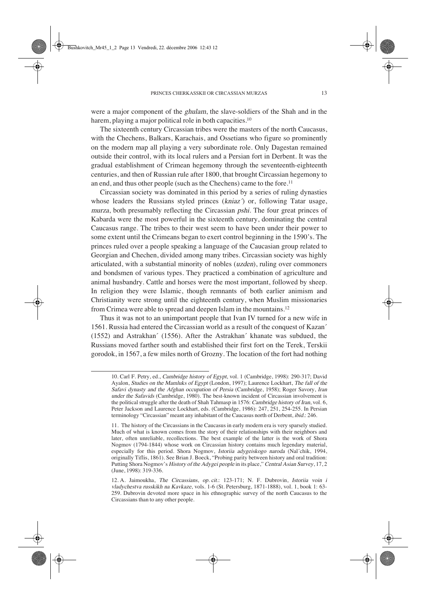were a major component of the ghulam, the slave-soldiers of the Shah and in the harem, playing a major political role in both capacities.<sup>10</sup>

The sixteenth century Circassian tribes were the masters of the north Caucasus, with the Chechens, Balkars, Karachais, and Ossetians who figure so prominently on the modern map all playing a very subordinate role. Only Dagestan remained outside their control, with its local rulers and a Persian fort in Derbent. It was the gradual establishment of Crimean hegemony through the seventeenth-eighteenth centuries, and then of Russian rule after 1800, that brought Circassian hegemony to an end, and thus other people (such as the Chechens) came to the fore.11

Circassian society was dominated in this period by a series of ruling dynasties whose leaders the Russians styled princes  $(kniaz')$  or, following Tatar usage, murza, both presumably reflecting the Circassian pshi. The four great princes of Kabarda were the most powerful in the sixteenth century, dominating the central Caucasus range. The tribes to their west seem to have been under their power to some extent until the Crimeans began to exert control beginning in the 1590's. The princes ruled over a people speaking a language of the Caucasian group related to Georgian and Chechen, divided among many tribes. Circassian society was highly articulated, with a substantial minority of nobles (uzden), ruling over commoners and bondsmen of various types. They practiced a combination of agriculture and animal husbandry. Cattle and horses were the most important, followed by sheep. In religion they were Islamic, though remnants of both earlier animism and Christianity were strong until the eighteenth century, when Muslim missionaries from Crimea were able to spread and deepen Islam in the mountains.12

Thus it was not to an unimportant people that Ivan IV turned for a new wife in 1561. Russia had entered the Circassian world as a result of the conquest of Kazan´ (1552) and Astrakhan´ (1556). After the Astrakhan´ khanate was subdued, the Russians moved farther south and established their first fort on the Terek, Terskii gorodok, in 1567, a few miles north of Grozny. The location of the fort had nothing

<sup>10.</sup> Carl F. Petry, ed., Cambridge history of Egypt, vol. 1 (Cambridge, 1998): 290-317; David Ayalon, Studies on the Mamluks of Egypt (London, 1997); Laurence Lockhart, The fall of the Safavi dynasty and the Afghan occupation of Persia (Cambridge, 1958); Roger Savory, Iran under the Safavids (Cambridge, 1980). The best-known incident of Circassian involvement is the political struggle after the death of Shah Tahmasp in 1576: Cambridge history of Iran, vol. 6, Peter Jackson and Laurence Lockhart, eds. (Cambridge, 1986): 247, 251, 254-255. In Persian terminology "Circassian" meant any inhabitant of the Caucasus north of Derbent, ibid.: 246.

<sup>11.</sup> The history of the Circassians in the Caucasus in early modern era is very sparsely studied. Much of what is known comes from the story of their relationships with their neighbors and later, often unreliable, recollections. The best example of the latter is the work of Shora Nogmov (1794-1844) whose work on Circassian history contains much legendary material, especially for this period. Shora Nogmov, Istoriia adygeiskogo naroda (Nal´chik, 1994, originally Tiflis, 1861). See Brian J. Boeck, "Probing parity between history and oral tradition: Putting Shora Nogmov's History of the Adygei people in its place," Central Asian Survey, 17, 2 (June, 1998): 319-336.

<sup>12.</sup> A. Jaimoukha, The Circassians, op. cit.: 123-171; N. F. Dubrovin, Istoriia voin i vladychestva russkikh na Kavkaze, vols. 1-6 (St. Petersburg, 1871-1888), vol. 1, book 1: 63-259. Dubrovin devoted more space in his ethnographic survey of the north Caucasus to the Circassians than to any other people.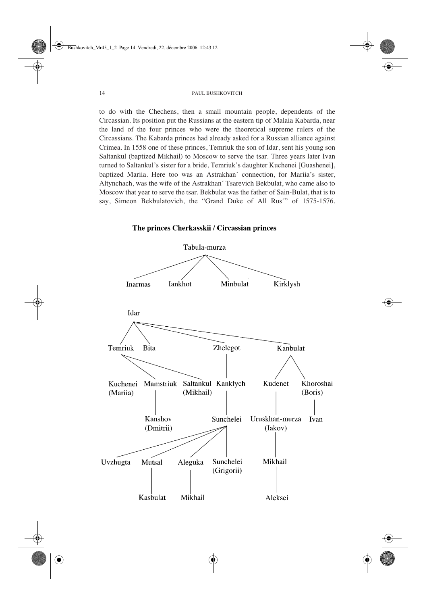to do with the Chechens, then a small mountain people, dependents of the Circassian. Its position put the Russians at the eastern tip of Malaia Kabarda, near the land of the four princes who were the theoretical supreme rulers of the Circassians. The Kabarda princes had already asked for a Russian alliance against Crimea. In 1558 one of these princes, Temriuk the son of Idar, sent his young son Saltankul (baptized Mikhail) to Moscow to serve the tsar. Three years later Ivan turned to Saltankul's sister for a bride, Temriuk's daughter Kuchenei [Guashenei], baptized Mariia. Here too was an Astrakhan´ connection, for Mariia's sister, Altynchach, was the wife of the Astrakhan´ Tsarevich Bekbulat, who came also to Moscow that year to serve the tsar. Bekbulat was the father of Sain-Bulat, that is to say, Simeon Bekbulatovich, the "Grand Duke of All Rus" of 1575-1576.

The princes Cherkasskii / Circassian princes

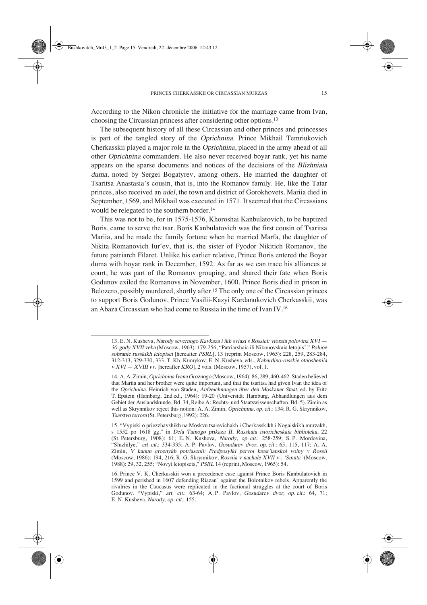According to the Nikon chronicle the initiative for the marriage came from Ivan, choosing the Circassian princess after considering other options.13

The subsequent history of all these Circassian and other princes and princesses is part of the tangled story of the Oprichnina. Prince Mikhail Temriukovich Cherkasskii played a major role in the Oprichnina, placed in the army ahead of all other Oprichnina commanders. He also never received boyar rank, yet his name appears on the sparse documents and notices of the decisions of the Blizhniaia duma, noted by Sergei Bogatyrev, among others. He married the daughter of Tsaritsa Anastasia's cousin, that is, into the Romanov family. He, like the Tatar princes, also received an udel, the town and district of Gorokhovets. Mariia died in September, 1569, and Mikhail was executed in 1571. It seemed that the Circassians would be relegated to the southern border.14

This was not to be, for in 1575-1576, Khoroshai Kanbulatovich, to be baptized Boris, came to serve the tsar. Boris Kanbulatovich was the first cousin of Tsaritsa Mariia, and he made the family fortune when he married Marfa, the daughter of Nikita Romanovich Iur´ev, that is, the sister of Fyodor Nikitich Romanov, the future patriarch Filaret. Unlike his earlier relative, Prince Boris entered the Boyar duma with boyar rank in December, 1592. As far as we can trace his alliances at court, he was part of the Romanov grouping, and shared their fate when Boris Godunov exiled the Romanovs in November, 1600. Prince Boris died in prison in Belozero, possibly murdered, shortly after.15 The only one of the Circassian princes to support Boris Godunov, Prince Vasilii-Kazyi Kardanukovich Cherkasskii, was an Abaza Circassian who had come to Russia in the time of Ivan IV.16

<sup>13.</sup> E. N. Kusheva, Narody severnogo Kavkaza i ikh sviazi s Rossiei: vtoraia polovina XVI — 30-gody XVII veka (Moscow, 1963): 179-256; "Patriarshaia ili Nikonovskaia letopis´," Polnoe sobranie russkikh letopisei [hereafter PSRL], 13 (reprint Moscow, 1965): 228, 259, 283-284, 312-313, 329-330, 333. T. Kh. Kumykov, E. N. Kusheva, eds., Kabardino-russkie otnosheniia  $v XVI = XVIII$  vv. [hereafter KRO], 2 vols. (Moscow, 1957), vol. 1.

<sup>14.</sup> A. A. Zimin, Oprichnina Ivana Groznogo (Moscow, 1964): 86, 289, 460-462. Staden believed that Mariia and her brother were quite important, and that the tsaritsa had given Ivan the idea of the Oprichnina. Heinrich von Staden, Aufzeichnungen über den Moskauer Staat, ed. by Fritz T. Epstein (Hamburg, 2nd ed., 1964): 19-20 (Universität Hamburg, Abhandlungen aus dem Gebiet der Auslandskunde, Bd. 34, Reihe A: Rechts- und Staatswissenschaften, Bd. 5). Zimin as well as Skrynnikov reject this notion: A. A. Zimin, Oprichnina, op. cit.: 134; R. G. Skrynnikov, Tsarstvo terrora (St. Petersburg, 1992): 226.

<sup>15. &</sup>quot;Vypiski o priezzhavshikh na Moskvu tsarevichakh i Cherkasskikh i Nogaiskikh murzakh, s 1552 po 1618 gg," in Dela Tainogo prikaza II, Russkaia istoricheskaia biblioteka, 22 (St. Petersburg, 1908): 61; E. N. Kusheva, Narody, op. cit.: 258-259; S. P. Mordovina, "Sluzhilye," art. cit.: 334-335; A. P. Pavlov, Gosudarev dvor, op. cit.: 65, 115, 117; A. A. Zimin, V kanun groznykh potriasenii: Predposylki pervoi krest´ianskoi voiny v Rossii (Moscow, 1986): 194, 216; R. G. Skrynnikov, Rossiia v nachale XVII v.: 'Smuta' (Moscow, 1988): 29, 32, 255; "Novyi letopisets," PSRL 14 (reprint, Moscow, 1965): 54.

<sup>16.</sup> Prince V. K. Cherkasskii won a precedence case against Prince Boris Kanbulatovich in 1599 and perished in 1607 defending Riazan´ against the Bolotnikov rebels. Apparently the rivalries in the Caucasus were replicated in the factional struggles at the court of Boris Godunov. "Vypiski," art. cit.: 63-64; A.P. Pavlov, Gosudarev dvor, op. cit.: 64, 71; E. N. Kusheva, Narody, op. cit.: 155.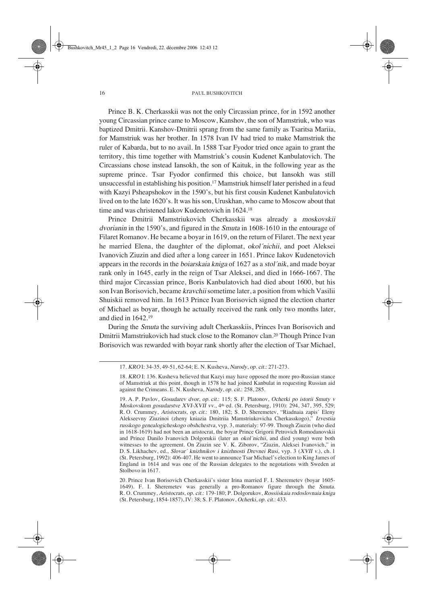Prince B. K. Cherkasskii was not the only Circassian prince, for in 1592 another young Circassian prince came to Moscow, Kanshov, the son of Mamstriuk, who was baptized Dmitrii. Kanshov-Dmitrii sprang from the same family as Tsaritsa Mariia, for Mamstriuk was her brother. In 1578 Ivan IV had tried to make Mamstriuk the ruler of Kabarda, but to no avail. In 1588 Tsar Fyodor tried once again to grant the territory, this time together with Mamstriuk's cousin Kudenet Kanbulatovich. The Circassians chose instead Iansokh, the son of Kaituk, in the following year as the supreme prince. Tsar Fyodor confirmed this choice, but Iansokh was still unsuccessful in establishing his position.17 Mamstriuk himself later perished in a feud with Kazyi Psheapshokov in the 1590's, but his first cousin Kudenet Kanbulatovich lived on to the late 1620's. It was his son, Uruskhan, who came to Moscow about that time and was christened Iakov Kudenetovich in 1624.18

Prince Dmitrii Mamstriukovich Cherkasskii was already a moskovskii dvorianin in the 1590's, and figured in the Smuta in 1608-1610 in the entourage of Filaret Romanov. He became a boyar in 1619, on the return of Filaret. The next year he married Elena, the daughter of the diplomat, okol´nichii, and poet Aleksei Ivanovich Ziuzin and died after a long career in 1651. Prince Iakov Kudenetovich appears in the records in the boiarskaia kniga of 1627 as a stol´nik, and made boyar rank only in 1645, early in the reign of Tsar Aleksei, and died in 1666-1667. The third major Circassian prince, Boris Kanbulatovich had died about 1600, but his son Ivan Borisovich, became kravchii sometime later, a position from which Vasilii Shuiskii removed him. In 1613 Prince Ivan Borisovich signed the election charter of Michael as boyar, though he actually received the rank only two months later, and died in 1642.19

During the Smuta the surviving adult Cherkasskiis, Princes Ivan Borisovich and Dmitrii Mamstriukovich had stuck close to the Romanov clan.20 Though Prince Ivan Borisovich was rewarded with boyar rank shortly after the election of Tsar Michael,

<sup>17.</sup> KROI: 34-35, 49-51, 62-64; E. N. Kusheva, Narody, op. cit.: 271-273.

<sup>18.</sup> KRO I: 136. Kusheva believed that Kazyi may have opposed the more pro-Russian stance of Mamstriuk at this point, though in 1578 he had joined Kanbulat in requesting Russian aid against the Crimeans. E. N. Kusheva, Narody, op. cit.: 258, 285.

<sup>19.</sup> A. P. Pavlov, Gosudarev dvor, op. cit.: 115; S. F. Platonov, Ocherki po istorii Smuty v Moskovskom gosudarstve XVI-XVII vv., 4<sup>th</sup> ed. (St. Petersburg, 1910): 294, 347, 395, 529; R.O. Crummey, Aristocrats, op. cit.: 180, 182; S. D. Sheremetev, "Riadnaia zapis´ Eleny Alekseevny Ziuzinoi (zheny kniazia Dmitriia Mamstriukovicha Cherkasskogo)," Izvestiia russkogo genealogicheskogo obshchestva, vyp. 3, materialy: 97-99. Though Ziuzin (who died in 1618-1619) had not been an aristocrat, the boyar Prince Grigorii Petrovich Romodanovskii and Prince Danilo Ivanovich Dolgorukii (later an okol´nichii, and died young) were both witnesses to the agreement. On Ziuzin see V. K. Ziborov, "Ziuzin, Aleksei Ivanovich," in D. S. Likhachev, ed., Slovar´ knizhnikov i knizhnosti Drevnei Rusi, vyp. 3 (XVII v.), ch. 1 (St. Petersburg, 1992): 406-407. He went to announce Tsar Michael's election to King James of England in 1614 and was one of the Russian delegates to the negotations with Sweden at Stolbovo in 1617.

<sup>20.</sup> Prince Ivan Borisovich Cherkasskii's sister Irina married F. I. Sheremetev (boyar 1605- 1649). F. I. Sheremetev was generally a pro-Romanov figure through the Smuta. R. O. Crummey, Aristocrats, op. cit.: 179-180; P. Dolgorukov, Rossiiskaia rodoslovnaia kniga (St. Petersburg, 1854-1857), IV: 38; S. F. Platonov, Ocherki, op. cit.: 433.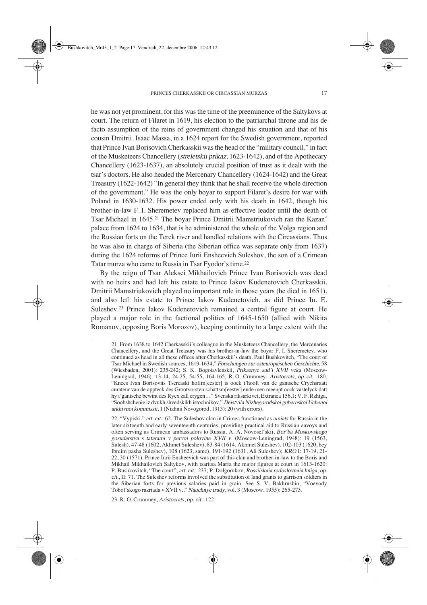he was not yet prominent, for this was the time of the preeminence of the Saltykovs at court. The return of Filaret in 1619, his election to the patriarchal throne and his de facto assumption of the reins of government changed his situation and that of his cousin Dmitrii. Isaac Massa, in a 1624 report for the Swedish government, reported that Prince Ivan Borisovich Cherkasskii was the head of the "military council," in fact of the Musketeers Chancellery (streletskii prikaz, 1623-1642), and of the Apothecary Chancellery (1623-1637), an absolutely crucial position of trust as it dealt with the tsar's doctors. He also headed the Mercenary Chancellery (1624-1642) and the Great Treasury (1622-1642) "In general they think that he shall receive the whole direction of the government." He was the only boyar to support Filaret's desire for war with Poland in 1630-1632. His power ended only with his death in 1642, though his brother-in-law F.I. Sheremetev replaced him as effective leader until the death of Tsar Michael in 1645.21 The boyar Prince Dmitrii Mamstriukovich ran the Kazan´ palace from 1624 to 1634, that is he administered the whole of the Volga region and the Russian forts on the Terek river and handled relations with the Circassians. Thus he was also in charge of Siberia (the Siberian office was separate only from 1637) during the 1624 reforms of Prince Iurii Ensheevich Suleshov, the son of a Crimean Tatar murza who came to Russia in Tsar Fyodor's time.22

By the reign of Tsar Aleksei Mikhailovich Prince Ivan Borisovich was dead with no heirs and had left his estate to Prince Iakov Kudenetovich Cherkasskii. Dmitrii Mamstriukovich played no important role in those years (he died in 1651), and also left his estate to Prince Iakov Kudenetovich, as did Prince Iu. E. Suleshev.23 Prince Iakov Kudenetovich remained a central figure at court. He played a major role in the factional politics of 1645-1650 (allied with Nikita Romanov, opposing Boris Morozov), keeping continuity to a large extent with the

23. R. O. Crummey, Aristocrats, op. cit.: 122.

<sup>21.</sup> From 1638 to 1642 Cherkasskii's colleague in the Musketeers Chancellery, the Mercenaries Chancellery, and the Great Treasury was his brother-in-law the boyar F. I. Sheremetev, who continued as head in all these offices after Cherkasskii's death. Paul Bushkovitch, "The court of Tsar Michael in Swedish sources, 1619-1634," Forschungen zur osteuropäischen Geschichte, 58 (Wiesbaden, 2001): 235-242; S. K. Bogoiavlenskii, Prikaznye sud´i XVII veka (Moscow-Leningrad, 1946): 13-14, 24-25, 54-55, 164-165; R.O. Crummey, Aristocrats, op. cit.: 180. "Knees Ivan Borisovits Tsercaski hoffm[eester] is oock t'hooft van de gantsche Crychsraatt curateur van de appteck des Grootvorsten schattsm[eester] ende men meenpt oock vastelyck datt hy t'gantsche bewint des Rycx zall crygen…" Svenska riksarkivet, Extranea 156.1; V. F. Rzhiga, "Soobshchenie iz dvukh shvedskikh istochnikov," Deistviia Nizhegorodskoi gubernskoi Uchenoi arkhivnoi kommissii, 1 (Nizhnii Novogorod, 1913): 20 (with errors).

<sup>22. &</sup>quot;Vypiski," art. cit.: 62. The Suleshov clan in Crimea functioned as amiats for Russia in the later sixteenth and early seventeenth centuries, providing practical aid to Russian envoys and often serving as Crimean ambassadors to Russia. A. A. Novosel´skii, Bor´ba Moskovskogo gosudarstva s tatarami v pervoi polovine XVII v. (Moscow-Leningrad, 1948): 19 (1563, Sulesh), 47-48 (1602, Akhmet Suleshev), 83-84 (1614, Akhmet Suleshev), 102-103 (1620, bey Ibreim pasha Suleshev), 108 (1623, same), 191-192 (1631, Ali Suleshev); KRO I: 17-19, 21- 22, 30 (1571). Prince Iurii Ensheevich was part of this clan and brother-in-law to the Boris and Mikhail Mikhailovich Saltykov, with tsaritsa Marfa the major figures at court in 1613-1620: P. Bushkovitch, "The court", art. cit.: 237; P. Dolgorukov, Rossiiskaia rodoslovnaia kniga, op. cit., II: 71. The Suleshev reforms involved the substitution of land grants to garrison soldiers in the Siberian forts for previous salaries paid in grain. See S. V. Bakhrushin, "Voevody Tobol´skogo razriada v XVII v.," Nauchnye trudy, vol. 3 (Moscow, 1955): 265-273.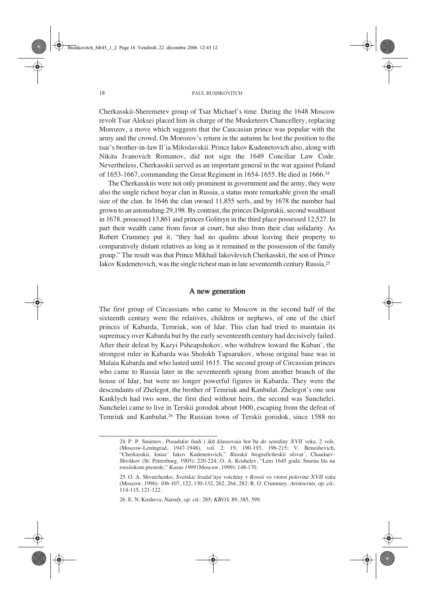Cherkasskii-Sheremetev group of Tsar Michael's time. During the 1648 Moscow revolt Tsar Aleksei placed him in charge of the Musketeers Chancellery, replacing Morozov, a move which suggests that the Caucasian prince was popular with the army and the crowd. On Morozov's return in the autumn he lost the position to the tsar's brother-in-law Il´ia Miloslavskii. Prince Iakov Kudenetovich also, along with Nikita Ivanovich Romanov, did not sign the 1649 Conciliar Law Code. Nevertheless, Cherkasskii served as an important general in the war against Poland of 1653-1667, commanding the Great Regiment in 1654-1655. He died in 1666.24

The Cherkasskiis were not only prominent in government and the army, they were also the single richest boyar clan in Russia, a status more remarkable given the small size of the clan. In 1646 the clan owned 11,855 serfs, and by 1678 the number had grown to an astonishing 29,198. By contrast, the princes Dolgorukii, second wealthiest in 1678, possessed 13,861 and princes Golitsyn in the third place possessed 12,527. In part their wealth came from favor at court, but also from their clan solidarity. As Robert Crummey put it, "they had no qualms about leaving their property to comparatively distant relatives as long as it remained in the possession of the family group." The result was that Prince Mikhail Iakovlevich Cherkasskii, the son of Prince Iakov Kudenetovich, was the single richest man in late seventeenth century Russia.25

### A new generation

The first group of Circassians who came to Moscow in the second half of the sixteenth century were the relatives, children or nephews, of one of the chief princes of Kabarda, Temriuk, son of Idar. This clan had tried to maintain its supremacy over Kabarda but by the early seventeenth century had decisively failed. After their defeat by Kazyi Psheapshokov, who withdrew toward the Kuban´, the strongest ruler in Kabarda was Sholokh Tapsarukov, whose original base was in Malaia Kabarda and who lasted until 1615. The second group of Circassian princes who came to Russia later in the seventeenth sprang from another branch of the house of Idar, but were no longer powerful figures in Kabarda. They were the descendants of Zhelegot, the brother of Temriuk and Kanbulat. Zhelegot's one son Kanklych had two sons, the first died without heirs, the second was Sunchelei. Sunchelei came to live in Terskii gorodok about 1600, escaping from the defeat of Temriuk and Kanbulat.26 The Russian town of Terskii gorodok, since 1588 no

<sup>24.</sup> P. P. Smirnov, Posadskie liudi i ikh klassovaia bor´ba do serediny XVII veka, 2 vols. (Moscow-Leningrad, 1947-1948), vol. 2: 19, 190-193, 196-215; V. Beneshevich, "Cherkasskii, kniaz´ Iakov Kudenetovich," Russkii biograficheskii slovar´, Chaadaev-Shvitkov (St. Petersburg, 1905): 220-224; O. A. Koshelev, "Leto 1645 goda: Smena lits na rossiiskom prestole," Kazus 1999 (Moscow, 1999): 148-170.

<sup>25.</sup> O. A. Shvatchenko, Svetskie feodal´nye votchiny v Rossii vo vtoroi polovine XVII veka (Moscow, 1996): 106-107, 122, 130-132, 262, 264, 282; R. O. Crummey, Aristocrats, op. cit.: 114-115, 121-122.

<sup>26.</sup> E. N. Kusheva, Narody, op. cit.: 285; KRO I: 89, 385, 399.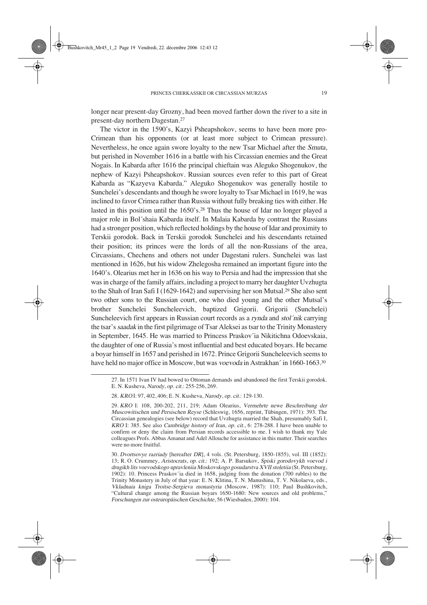longer near present-day Grozny, had been moved farther down the river to a site in present-day northern Dagestan.27

The victor in the 1590's, Kazyi Psheapshokov, seems to have been more pro-Crimean than his opponents (or at least more subject to Crimean pressure). Nevertheless, he once again swore loyalty to the new Tsar Michael after the Smuta, but perished in November 1616 in a battle with his Circassian enemies and the Great Nogais. In Kabarda after 1616 the principal chieftain was Aleguko Shogenukov, the nephew of Kazyi Psheapshokov. Russian sources even refer to this part of Great Kabarda as "Kazyeva Kabarda." Aleguko Shogenukov was generally hostile to Sunchelei's descendants and though he swore loyalty to Tsar Michael in 1619, he was inclined to favor Crimea rather than Russia without fully breaking ties with either. He lasted in this position until the 1650's.28 Thus the house of Idar no longer played a major role in Bol´shaia Kabarda itself. In Malaia Kabarda by contrast the Russians had a stronger position, which reflected holdings by the house of Idar and proximity to Terskii gorodok. Back in Terskii gorodok Sunchelei and his descendants retained their position; its princes were the lords of all the non-Russians of the area, Circassians, Chechens and others not under Dagestani rulers. Sunchelei was last mentioned in 1626, but his widow Zhelegosha remained an important figure into the 1640's. Olearius met her in 1636 on his way to Persia and had the impression that she was in charge of the family affairs, including a project to marry her daughter Uvzhugta to the Shah of Iran Safi I (1629-1642) and supervising her son Mutsal.29 She also sent two other sons to the Russian court, one who died young and the other Mutsal's brother Sunchelei Suncheleevich, baptized Grigorii. Grigorii (Sunchelei) Suncheleevich first appears in Russian court records as a rynda and stol´nik carrying the tsar's saadak in the first pilgrimage of Tsar Aleksei as tsar to the Trinity Monastery in September, 1645. He was married to Princess Praskov´ia Nikitichna Odoevskaia, the daughter of one of Russia's most influential and best educated boyars. He became a boyar himself in 1657 and perished in 1672. Prince Grigorii Suncheleevich seems to have held no major office in Moscow, but was voevoda in Astrakhan´ in 1660-1663.<sup>30</sup>

<sup>27.</sup> In 1571 Ivan IV had bowed to Ottoman demands and abandoned the first Terskii gorodok. E. N. Kusheva, *Narody*, op. cit.: 255-256, 269.

<sup>28.</sup> KROI: 97, 402, 406; E. N. Kusheva, Narody, op. cit.: 129-130.

<sup>29.</sup> KRO I: 108, 200-202, 211, 219; Adam Olearius, Vermehrte newe Beschreibung der Muscowitischen und Persischen Reyse (Schleswig, 1656, reprint, Tübingen, 1971): 393. The Circassian genealogies (see below) record that Uvzhugta married the Shah, presumably Safi I, KRO I: 385. See also Cambridge history of Iran, op. cit., 6: 278-288. I have been unable to confirm or deny the claim from Persian records accessible to me. I wish to thank my Yale colleagues Profs. Abbas Amanat and Adel Allouche for assistance in this matter. Their searches were no more fruitful.

<sup>30.</sup> Dvortsovye razriady [hereafter DR], 4 vols. (St. Petersburg, 1850-1855), vol. III (1852): 13; R.O. Crummey, Aristocrats, op. cit.: 192; A. P. Barsukov, Spiski gorodovykh voevod i drugikh lits voevodskogo upravleniia Moskovskogo gosudarstva XVII stoletiia (St. Petersburg, 1902): 10. Princess Praskov´ia died in 1658, judging from the donation (700 rubles) to the Trinity Monastery in July of that year: E. N. Klitina, T. N. Manushina, T. V. Nikolaeva, eds., Vkladnaia kniga Troitse-Sergieva monastyria (Moscow, 1987): 110; Paul Bushkovitch, "Cultural change among the Russian boyars 1650-1680: New sources and old problems," Forschungen zur osteuropäischen Geschichte, 56 (Wiesbaden, 2000): 104.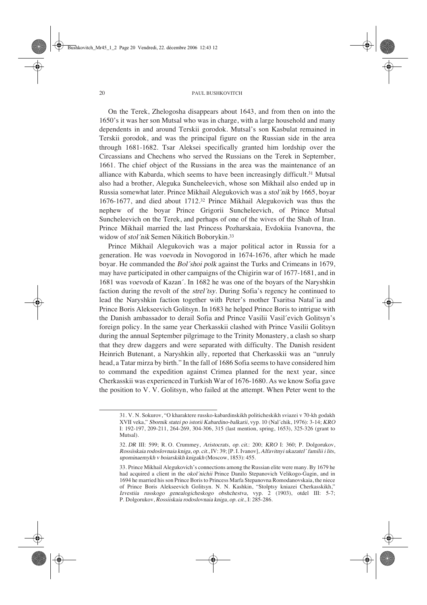On the Terek, Zhelogosha disappears about 1643, and from then on into the 1650's it was her son Mutsal who was in charge, with a large household and many dependents in and around Terskii gorodok. Mutsal's son Kasbulat remained in Terskii gorodok, and was the principal figure on the Russian side in the area through 1681-1682. Tsar Aleksei specifically granted him lordship over the Circassians and Chechens who served the Russians on the Terek in September, 1661. The chief object of the Russians in the area was the maintenance of an alliance with Kabarda, which seems to have been increasingly difficult.31 Mutsal also had a brother, Aleguka Suncheleevich, whose son Mikhail also ended up in Russia somewhat later. Prince Mikhail Alegukovich was a stol´nik by 1665, boyar 1676-1677, and died about 1712.32 Prince Mikhail Alegukovich was thus the nephew of the boyar Prince Grigorii Suncheleevich, of Prince Mutsal Suncheleevich on the Terek, and perhaps of one of the wives of the Shah of Iran. Prince Mikhail married the last Princess Pozharskaia, Evdokiia Ivanovna, the widow of stol´nik Semen Nikitich Boborykin.<sup>33</sup>

Prince Mikhail Alegukovich was a major political actor in Russia for a generation. He was voevoda in Novogorod in 1674-1676, after which he made boyar. He commanded the Bol´shoi polk against the Turks and Crimeans in 1679, may have participated in other campaigns of the Chigirin war of 1677-1681, and in 1681 was voevoda of Kazan´. In 1682 he was one of the boyars of the Naryshkin faction during the revolt of the strel´tsy. During Sofia's regency he continued to lead the Naryshkin faction together with Peter's mother Tsaritsa Natal´ia and Prince Boris Alekseevich Golitsyn. In 1683 he helped Prince Boris to intrigue with the Danish ambassador to derail Sofia and Prince Vasilii Vasil´evich Golitsyn's foreign policy. In the same year Cherkasskii clashed with Prince Vasilii Golitsyn during the annual September pilgrimage to the Trinity Monastery, a clash so sharp that they drew daggers and were separated with difficulty. The Danish resident Heinrich Butenant, a Naryshkin ally, reported that Cherkasskii was an "unruly head, a Tatar mirza by birth." In the fall of 1686 Sofia seems to have considered him to command the expedition against Crimea planned for the next year, since Cherkasskii was experienced in Turkish War of 1676-1680. As we know Sofia gave the position to V. V. Golitsyn, who failed at the attempt. When Peter went to the

<sup>31.</sup> V. N. Sokurov, "O kharaktere russko-kabardinskikh politicheskikh sviazei v 70-kh godakh XVII veka," Sbornik statei po istorii Kabardino-balkarii, vyp. 10 (Nal´chik, 1976): 3-14; KRO I: 192-197, 209-211, 264-269, 304-306, 315 (last mention, spring, 1653), 325-326 (grant to Mutsal).

<sup>32.</sup> DR III: 599; R.O. Crummey, Aristocrats, op. cit.: 200; KRO I: 360; P. Dolgorukov, Rossiiskaia rodoslovnaia kniga, op. cit., IV: 39; [P. I. Ivanov], Alfavitnyi ukazatel´ familii i lits, upominaemykh v boiarskikh knigakh (Moscow, 1853): 455.

<sup>33.</sup> Prince Mikhail Alegukovich's connections among the Russian elite were many. By 1679 he had acquired a client in the *okol* nichii Prince Danilo Stepanovich Velikogo-Gagin, and in 1694 he married his son Prince Boris to Princess Marfa Stepanovna Romodanovskaia, the niece of Prince Boris Alekseevich Golitsyn. N. N. Kashkin, "Stolptsy kniazei Cherkasskikh," Izvestiia russkogo genealogicheskogo obshchestva, vyp. 2 (1903), otdel III: 5-7; P. Dolgorukov, Rossiiskaia rodoslovnaia kniga, op. cit., I: 285-286.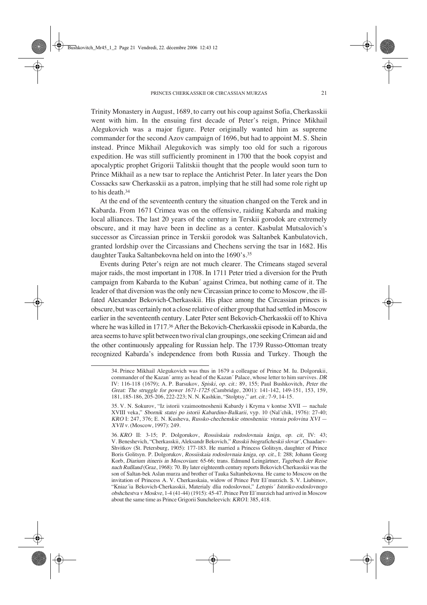Trinity Monastery in August, 1689, to carry out his coup against Sofia, Cherkasskii went with him. In the ensuing first decade of Peter's reign, Prince Mikhail Alegukovich was a major figure. Peter originally wanted him as supreme commander for the second Azov campaign of 1696, but had to appoint M. S. Shein instead. Prince Mikhail Alegukovich was simply too old for such a rigorous expedition. He was still sufficiently prominent in 1700 that the book copyist and apocalyptic prophet Grigorii Talitskii thought that the people would soon turn to Prince Mikhail as a new tsar to replace the Antichrist Peter. In later years the Don Cossacks saw Cherkasskii as a patron, implying that he still had some role right up to his death.<sup>34</sup>

At the end of the seventeenth century the situation changed on the Terek and in Kabarda. From 1671 Crimea was on the offensive, raiding Kabarda and making local alliances. The last 20 years of the century in Terskii gorodok are extremely obscure, and it may have been in decline as a center. Kasbulat Mutsalovich's successor as Circassian prince in Terskii gorodok was Saltanbek Kanbulatovich, granted lordship over the Circassians and Chechens serving the tsar in 1682. His daughter Tauka Saltanbekovna held on into the 1690's.35

Events during Peter's reign are not much clearer. The Crimeans staged several major raids, the most important in 1708. In 1711 Peter tried a diversion for the Pruth campaign from Kabarda to the Kuban´ against Crimea, but nothing came of it. The leader of that diversion was the only new Circassian prince to come to Moscow, the illfated Alexander Bekovich-Cherkasskii. His place among the Circassian princes is obscure, but was certainly not a close relative of either group that had settled in Moscow earlier in the seventeenth century. Later Peter sent Bekovich-Cherkasskii off to Khiva where he was killed in 1717.36 After the Bekovich-Cherkasskii episode in Kabarda, the area seems to have split between two rival clan groupings, one seeking Crimean aid and the other continuously appealing for Russian help. The 1739 Russo-Ottoman treaty recognized Kabarda's independence from both Russia and Turkey. Though the

<sup>34.</sup> Prince Mikhail Alegukovich was thus in 1679 a colleague of Prince M. Iu. Dolgorukii, commander of the Kazan´ army as head of the Kazan´ Palace, whose letter to him survives. DR IV: 116-118 (1679); A. P. Barsukov, *Spiski, op. cit.*: 89, 155; Paul Bushkovitch, *Peter the* Great: The struggle for power 1671-1725 (Cambridge, 2001): 141-142, 149-151, 153, 159, 181, 185-186, 205-206, 222-223; N.-N. Kashkin, "Stolptsy," art. cit.: 7-9, 14-15.

<sup>35.</sup> V. N. Sokurov, "Iz istorii vzaimootnoshenii Kabardy i Kryma v kontse XVII — nachale XVIII veka," Sbornik statei po istorii Kabardino-Balkarii, vyp. 10 (Nal´chik, 1976): 27-40; KRO I: 247, 376; E. N. Kusheva, Russko-chechenskie otnosheniia: vtoraia polovina XVI — XVII v. (Moscow, 1997): 249.

<sup>36.</sup> KRO II: 3-15; P. Dolgorukov, Rossiiskaia rodoslovnaia kniga, op. cit, IV: 43; V. Beneshevich, "Cherkasskii, Aleksandr Bekovich," Russkii biograficheskii slovar´, Chaadaev-Shvitkov (St. Petersburg, 1905): 177-183. He married a Princess Golitsyn, daughter of Prince Boris Golitsyn. P. Dolgorukov, Rossiiskaia rodoslovnaia kniga, op. cit., I: 288; Johann Georg Korb, Diarium itineris in Moscoviam: 65-66; trans. Edmund Leingärtner, Tagebuch der Reise nach Rußland (Graz, 1968): 70. By later eighteenth century reports Bekovich Cherkasskii was the son of Saltan-bek Aslan murza and brother of Tauka Saltanbekovna. He came to Moscow on the invitation of Princess A. V. Cherkasskaia, widow of Prince Petr El'murzich. S. V. Liubimov, "Kniaz´ia Bekovich-Cherkasskii, Materialy dlia rodoslovnoi," Letopis´ Istoriko-rodoslovnogo obshchestva v Moskve, 1-4 (41-44) (1915): 45-47. Prince Petr El´murzich had arrived in Moscow about the same time as Prince Grigorii Suncheleevich: KRO I: 385, 418.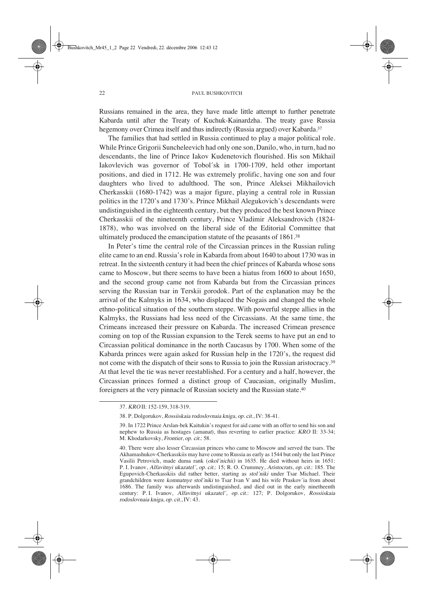Russians remained in the area, they have made little attempt to further penetrate Kabarda until after the Treaty of Kuchuk-Kainardzha. The treaty gave Russia hegemony over Crimea itself and thus indirectly (Russia argued) over Kabarda.<sup>37</sup>

The families that had settled in Russia continued to play a major political role. While Prince Grigorii Suncheleevich had only one son, Danilo, who, in turn, had no descendants, the line of Prince Iakov Kudenetovich flourished. His son Mikhail Iakovlevich was governor of Tobol´sk in 1700-1709, held other important positions, and died in 1712. He was extremely prolific, having one son and four daughters who lived to adulthood. The son, Prince Aleksei Mikhailovich Cherkasskii (1680-1742) was a major figure, playing a central role in Russian politics in the 1720's and 1730's. Prince Mikhail Alegukovich's descendants were undistinguished in the eighteenth century, but they produced the best known Prince Cherkasskii of the nineteenth century, Prince Vladimir Aleksandrovich (1824- 1878), who was involved on the liberal side of the Editorial Committee that ultimately produced the emancipation statute of the peasants of 1861.38

In Peter's time the central role of the Circassian princes in the Russian ruling elite came to an end. Russia's role in Kabarda from about 1640 to about 1730 was in retreat. In the sixteenth century it had been the chief princes of Kabarda whose sons came to Moscow, but there seems to have been a hiatus from 1600 to about 1650, and the second group came not from Kabarda but from the Circassian princes serving the Russian tsar in Terskii gorodok. Part of the explanation may be the arrival of the Kalmyks in 1634, who displaced the Nogais and changed the whole ethno-political situation of the southern steppe. With powerful steppe allies in the Kalmyks, the Russians had less need of the Circassians. At the same time, the Crimeans increased their pressure on Kabarda. The increased Crimean presence coming on top of the Russian expansion to the Terek seems to have put an end to Circassian political dominance in the north Caucasus by 1700. When some of the Kabarda princes were again asked for Russian help in the 1720's, the request did not come with the dispatch of their sons to Russia to join the Russian aristocracy.39 At that level the tie was never reestablished. For a century and a half, however, the Circassian princes formed a distinct group of Caucasian, originally Muslim, foreigners at the very pinnacle of Russian society and the Russian state.40

<sup>37.</sup> KRO II: 152-159, 318-319.

<sup>38.</sup> P. Dolgorukov, Rossiiskaia rodoslovnaia kniga, op. cit., IV: 38-41.

<sup>39.</sup> In 1722 Prince Arslan-bek Kaitukin's request for aid came with an offer to send his son and nephew to Russia as hostages (amanat), thus reverting to earlier practice: KRO II: 33-34; M. Khodarkovsky, Frontier, op. cit.: 58.

<sup>40.</sup> There were also lesser Circassian princes who came to Moscow and served the tsars. The Akhamashukov-Cherkasskiis may have come to Russia as early as 1544 but only the last Prince Vasilii Petrovich, made duma rank (okol´nichii) in 1635. He died without heirs in 1651: P. I. Ivanov, Alfavitnyi ukazatel´, op. cit.: 15; R. O. Crummey, Aristocrats, op. cit.: 185. The Egupovich-Cherkasskiis did rather better, starting as stol´niki under Tsar Michael. Their grandchildren were komnatnye stol´niki to Tsar Ivan V and his wife Praskov´ia from about 1686. The family was afterwards undistinguished, and died out in the early ninetheenth century: P.I. Ivanov, Alfavitnyi ukazatel´, op. cit.: 127; P. Dolgorukov, Rossiiskaia rodoslovnaia kniga, op. cit., IV: 43.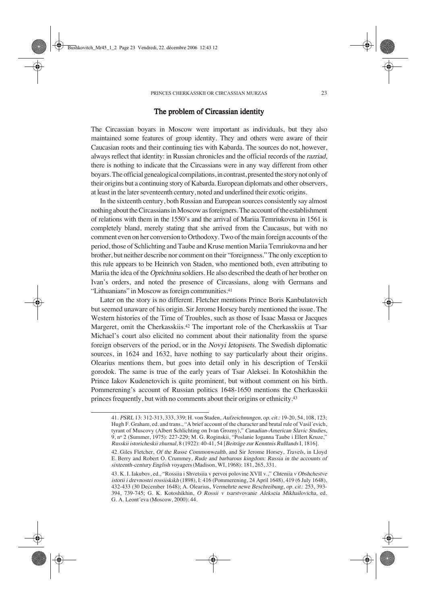### The problem of Circassian identity

The Circassian boyars in Moscow were important as individuals, but they also maintained some features of group identity. They and others were aware of their Caucasian roots and their continuing ties with Kabarda. The sources do not, however, always reflect that identity: in Russian chronicles and the official records of the razriad, there is nothing to indicate that the Circassians were in any way different from other boyars. The official genealogical compilations, in contrast, presented the story not only of their origins but a continuing story of Kabarda. European diplomats and other observers, at least in the later seventeenth century, noted and underlined their exotic origins.

In the sixteenth century, both Russian and European sources consistently say almost nothing about the Circassians in Moscow as foreigners. The account of the establishment of relations with them in the 1550's and the arrival of Mariia Temriukovna in 1561 is completely bland, merely stating that she arrived from the Caucasus, but with no comment even on her conversion to Orthodoxy. Two of the main foreign accounts of the period, those of Schlichting and Taube and Kruse mention Mariia Temriukovna and her brother, but neither describe nor comment on their "foreignness." The only exception to this rule appears to be Heinrich von Staden, who mentioned both, even attributing to Mariia the idea of the Oprichnina soldiers. He also described the death of her brother on Ivan's orders, and noted the presence of Circassians, along with Germans and "Lithuanians" in Moscow as foreign communities.41

Later on the story is no different. Fletcher mentions Prince Boris Kanbulatovich but seemed unaware of his origin. Sir Jerome Horsey barely mentioned the issue. The Western histories of the Time of Troubles, such as those of Isaac Massa or Jacques Margeret, omit the Cherkasskiis.42 The important role of the Cherkasskiis at Tsar Michael's court also elicited no comment about their nationality from the sparse foreign observers of the period, or in the Novyi letopisets. The Swedish diplomatic sources, in 1624 and 1632, have nothing to say particularly about their origins. Olearius mentions them, but goes into detail only in his description of Terskii gorodok. The same is true of the early years of Tsar Aleksei. In Kotoshikhin the Prince Iakov Kudenetovich is quite prominent, but without comment on his birth. Pommerening's account of Russian politics 1648-1650 mentions the Cherkasskii princes frequently, but with no comments about their origins or ethnicity.43

<sup>41.</sup> PSRL 13: 312-313, 333, 339; H. von Staden, Aufzeichnungen, op. cit.: 19-20, 54, 108, 123; Hugh F. Graham, ed. and trans., "A brief account of the character and brutal rule of Vasil´evich, tyrant of Muscovy (Albert Schlichting on Ivan Grozny)," Canadian-American Slavic Studies, 9, nº 2 (Summer, 1975): 227-229; M. G. Roginskii, "Poslanie Ioganna Taube i Ellert Kruze," Russkii istoricheskii zhurnal, 8 (1922): 40-41, 54 [Beiträge zur Kenntnis Rußlands I, 1816].

<sup>42.</sup> Giles Fletcher, Of the Russe Commonwealth, and Sir Jerome Horsey, Travels, in Lloyd E. Berry and Robert O. Crummey, Rude and barbarous kingdom: Russia in the accounts of sixteenth-century English voyagers (Madison, WI, 1968): 181, 265, 331.

<sup>43.</sup> K. I. Iakubov, ed., "Rossiia i Shvetsiia v pervoi polovine XVII v.," Chteniia v Obshchestve istorii i drevnostei rossiiskikh (1898), I: 416 (Pommerening, 24 April 1648), 419 (6 July 1648), 432-433 (30 December 1648); A. Olearius, Vermehrte newe Beschreibung, op. cit.: 253, 393- 394, 739-745; G. K. Kotoshikhin, O Rossii v tsarstvovanie Alekseia Mikhailovicha, ed. G. A. Leont´eva (Moscow, 2000): 44.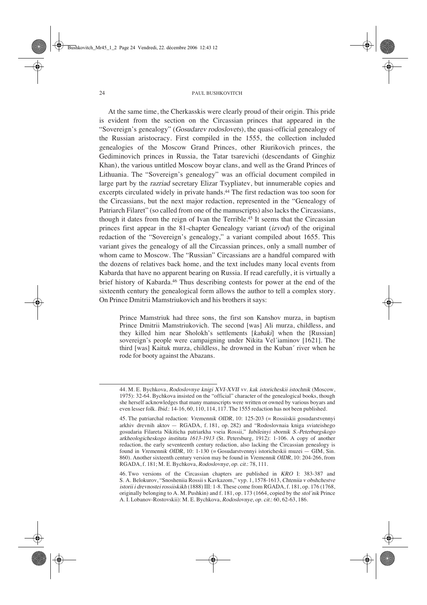At the same time, the Cherkasskis were clearly proud of their origin. This pride is evident from the section on the Circassian princes that appeared in the "Sovereign's genealogy" (Gosudarev rodoslovets), the quasi-official genealogy of the Russian aristocracy. First compiled in the 1555, the collection included genealogies of the Moscow Grand Princes, other Riurikovich princes, the Gediminovich princes in Russia, the Tatar tsarevichi (descendants of Ginghiz Khan), the various untitled Moscow boyar clans, and well as the Grand Princes of Lithuania. The "Sovereign's genealogy" was an official document compiled in large part by the razriad secretary Elizar Tsypliatev, but innumerable copies and excerpts circulated widely in private hands.44 The first redaction was too soon for the Circassians, but the next major redaction, represented in the "Genealogy of Patriarch Filaret" (so called from one of the manuscripts) also lacks the Circassians, though it dates from the reign of Ivan the Terrible.45 It seems that the Circassian princes first appear in the 81-chapter Genealogy variant (izvod) of the original redaction of the "Sovereign's genealogy," a variant compiled about 1655. This variant gives the genealogy of all the Circassian princes, only a small number of whom came to Moscow. The "Russian" Circassians are a handful compared with the dozens of relatives back home, and the text includes many local events from Kabarda that have no apparent bearing on Russia. If read carefully, it is virtually a brief history of Kabarda.46 Thus describing contests for power at the end of the sixteenth century the genealogical form allows the author to tell a complex story. On Prince Dmitrii Mamstriukovich and his brothers it says:

Prince Mamstriuk had three sons, the first son Kanshov murza, in baptism Prince Dmitrii Mamstriukovich. The second [was] Ali murza, childless, and they killed him near Sholokh's settlements [kabaki] when the [Russian] sovereign's people were campaigning under Nikita Vel´iaminov [1621]. The third [was] Kaituk murza, childless, he drowned in the Kuban´ river when he rode for booty against the Abazans.

<sup>44.</sup> M. E. Bychkova, Rodoslovnye knigi XVI-XVII vv. kak istoricheskii istochnik (Moscow, 1975): 32-64. Bychkova insisted on the "official" character of the genealogical books, though she herself acknowledges that many manuscripts were written or owned by various boyars and even lesser folk. Ibid.: 14-16, 60, 110, 114, 117. The 1555 redaction has not been published.

<sup>45.</sup> The patriarchal redaction: Vremennik OIDR, 10: 125-203 (= Rossiiskii gosudarstvennyi arkhiv drevnih aktov — RGADA, f. 181, op. 282) and "Rodoslovnaia kniga sviateishego gosudaria Filareta Nikiticha patriarkha vseia Rossii," Iubileinyi sbornik S.-Peterburgskogo arkheologicheskogo instituta 1613-1913 (St. Petersburg, 1912): 1-106. A copy of another redaction, the early seventeenth century redaction, also lacking the Circassian genealogy is found in Vremennik OIDR, 10: 1-130 (= Gosudarstvennyi istoricheskii muzei — GIM, Sin. 860). Another sixteenth century version may be found in Vremennik OIDR, 10: 204-266, from RGADA, f. 181; M. E. Bychkova, Rodoslovnye, op. cit.: 78, 111.

<sup>46.</sup> Two versions of the Circassian chapters are published in KRO I: 383-387 and S. A. Belokurov, "Snosheniia Rossii s Kavkazom," vyp. 1, 1578-1613, Chteniia v obshchestve istorii i drevnostei rossiiskikh (1888) III: 1-8. These come from RGADA, f. 181, op. 176 (1768, originally belonging to A. M. Pushkin) and f. 181, op. 173 (1664, copied by the stol nik Prince A. I. Lobanov-Rostovskii): M. E. Bychkova, Rodoslovnye, op. cit.: 60, 62-63, 186.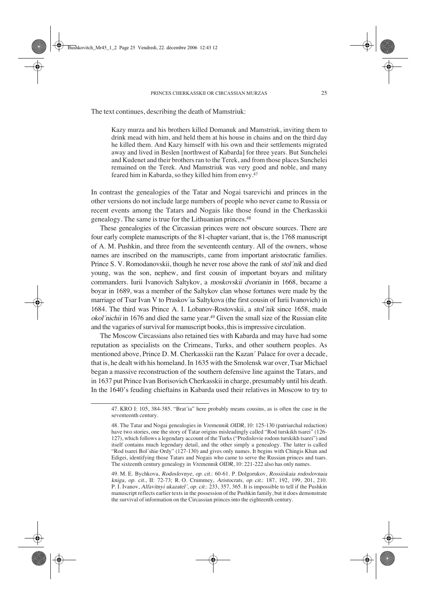The text continues, describing the death of Mamstriuk:

Kazy murza and his brothers killed Domanuk and Mamstriuk, inviting them to drink mead with him, and held them at his house in chains and on the third day he killed them. And Kazy himself with his own and their settlements migrated away and lived in Beslen [northwest of Kabarda] for three years. But Sunchelei and Kudenet and their brothers ran to the Terek, and from those places Sunchelei remained on the Terek. And Mamstriuk was very good and noble, and many feared him in Kabarda, so they killed him from envy.47

In contrast the genealogies of the Tatar and Nogai tsarevichi and princes in the other versions do not include large numbers of people who never came to Russia or recent events among the Tatars and Nogais like those found in the Cherkasskii genealogy. The same is true for the Lithuanian princes.48

These genealogies of the Circassian princes were not obscure sources. There are four early complete manuscripts of the 81-chapter variant, that is, the 1768 manuscript of A. M. Pushkin, and three from the seventeenth century. All of the owners, whose names are inscribed on the manuscripts, came from important aristocratic families. Prince S. V. Romodanovskii, though he never rose above the rank of stol´nik and died young, was the son, nephew, and first cousin of important boyars and military commanders. Iurii Ivanovich Saltykov, a moskovskii dvorianin in 1668, became a boyar in 1689, was a member of the Saltykov clan whose fortunes were made by the marriage of Tsar Ivan V to Praskov´ia Saltykova (the first cousin of Iurii Ivanovich) in 1684. The third was Prince A. I. Lobanov-Rostovskii, a stol´nik since 1658, made okol´nichii in 1676 and died the same year.49 Given the small size of the Russian elite and the vagaries of survival for manuscript books, this is impressive circulation.

The Moscow Circassians also retained ties with Kabarda and may have had some reputation as specialists on the Crimeans, Turks, and other southern peoples. As mentioned above, Prince D. M. Cherkasskii ran the Kazan´ Palace for over a decade, that is, he dealt with his homeland. In 1635 with the Smolensk war over, Tsar Michael began a massive reconstruction of the southern defensive line against the Tatars, and in 1637 put Prince Ivan Borisovich Cherkasskii in charge, presumably until his death. In the 1640's feuding chieftains in Kabarda used their relatives in Moscow to try to

<sup>47.</sup> KRO I: 105, 384-385. "Brat´ia" here probably means cousins, as is often the case in the seventeenth century.

<sup>48.</sup> The Tatar and Nogai genealogies in Vremennik OIDR, 10: 125-130 (patriarchal redaction) have two stories, one the story of Tatar origins misleadingly called "Rod turskikh tsarei" (126- 127), which follows a legendary account of the Turks ("Predislovie rodom turskikh tsarei") and itself contains much legendary detail, and the other simply a genealogy. The latter is called "Rod tsarei Bol´shie Ordy" (127-130) and gives only names. It begins with Chingis Khan and Edigei, identifying those Tatars and Nogais who came to serve the Russian princes and tsars. The sixteenth century genealogy in Vremennik OIDR, 10: 221-222 also has only names.

<sup>49.</sup> M. E. Bychkova, Rodoslovnye, op. cit.: 60-61. P. Dolgorukov, Rossiiskaia rodoslovnaia kniga, op. cit., II: 72-73; R.O. Crummey, Aristocrats, op. cit.: 187, 192, 199, 201, 210. P. I. Ivanov, Alfavitnyi ukazatel´, op. cit.: 233, 357, 365. It is impossible to tell if the Pushkin manuscript reflects earlier texts in the possession of the Pushkin family, but it does demonstrate the survival of information on the Circassian princes into the eighteenth century.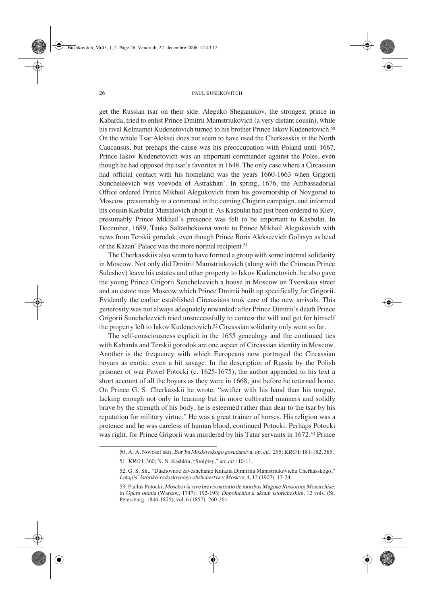get the Russian tsar on their side. Aleguko Sheganukov, the strongest prince in Kabarda, tried to enlist Prince Dmitrii Mamstriukovich (a very distant cousin), while his rival Kelmamet Kudenetovich turned to his brother Prince Iakov Kudenetovich.<sup>50</sup> On the whole Tsar Aleksei does not seem to have used the Cherkasskis in the North Caucausus, but prehaps the cause was his preoccupation with Poland until 1667. Prince Iakov Kudenetovich was an important commander against the Poles, even though he had opposed the tsar's favorites in 1648. The only case where a Circassian had official contact with his homeland was the years 1660-1663 when Grigorii Suncheleevich was voevoda of Astrakhan´. In spring, 1676, the Ambassadorial Office ordered Prince Mikhail Alegukovich from his governorship of Novgorod to Moscow, presumably to a command in the coming Chigirin campaign, and informed his cousin Kasbulat Mutsalovich about it. As Kasbulat had just been ordered to Kiev, presumably Prince Mikhail's presence was felt to be important to Kasbulat. In December, 1689, Tauka Saltanbekovna wrote to Prince Mikhail Alegukovich with news from Terskii gorodok, even though Prince Boris Alekseevich Golitsyn as head of the Kazan´ Palace was the more normal recipient.<sup>51</sup>

The Cherkasskiis also seem to have formed a group with some internal solidarity in Moscow. Not only did Dmitrii Mamstriukovich (along with the Crimean Prince Suleshev) leave his estates and other property to Iakov Kudenetovich, he also gave the young Prince Grigorii Suncheleevich a house in Moscow on Tverskaia street and an estate near Moscow which Prince Dmitrii built up specifically for Grigorii. Evidently the earlier established Circassians took care of the new arrivals. This generosity was not always adequately rewarded: after Prince Dimtrii's death Prince Grigorii Suncheleevich tried unsuccessfully to contest the will and get for himself the property left to Iakov Kudenetovich.52 Circassian solidarity only went so far.

The self-consciousness explicit in the 1655 genealogy and the continued ties with Kabarda and Terskii gorodok are one aspect of Circassian identity in Moscow. Another is the frequency with which Europeans now portrayed the Circassian boyars as exotic, even a bit savage. In the description of Russia by the Polish prisoner of war Pawel Potocki (c. 1625-1675), the author appended to his text a short account of all the boyars as they were in 1668, just before he returned home. On Prince G. S. Cherkasskii he wrote: "swifter with his hand than his tongue, lacking enough not only in learning but in more cultivated manners and solidly brave by the strength of his body, he is esteemed rather than dear to the tsar by his reputation for military virtue." He was a great trainer of horses. His religion was a pretence and he was careless of human blood, continued Potocki. Perhaps Potocki was right, for Prince Grigorii was murdered by his Tatar servants in 1672.<sup>53</sup> Prince

<sup>50.</sup> A. A. Novosel´skii, Bor´ba Moskovskogo gosudarstva, op. cit.: 295; KRO I: 181-182, 385. 51. KROI: 360; N. N. Kashkin, "Stolptsy," art. cit.: 10-11.

<sup>52.</sup> G. S. Sh., "Dukhovnoe zaveshchanie Kniazia Dimitriia Mamstriukovicha Cherkasskogo," Letopis´ Istoriko-rodoslovnogo obshchestva v Moskve, 4, 12 (1907): 17-24.

<sup>53.</sup> Paulus Potocki, Moschovia sive brevis narratio de moribus Magnae Russorum Monarchiae, in Opera omnia (Warsaw, 1747): 192-193; Dopolneniia k aktam istoricheskim, 12 vols. (St. Petersburg, 1846-1875), vol. 6 (1857): 260-261.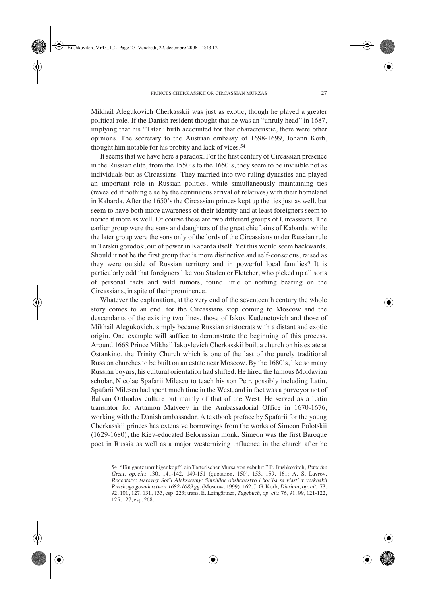Mikhail Alegukovich Cherkasskii was just as exotic, though he played a greater political role. If the Danish resident thought that he was an "unruly head" in 1687, implying that his "Tatar" birth accounted for that characteristic, there were other opinions. The secretary to the Austrian embassy of 1698-1699, Johann Korb, thought him notable for his probity and lack of vices.54

It seems that we have here a paradox. For the first century of Circassian presence in the Russian elite, from the 1550's to the 1650's, they seem to be invisible not as individuals but as Circassians. They married into two ruling dynasties and played an important role in Russian politics, while simultaneously maintaining ties (revealed if nothing else by the continuous arrival of relatives) with their homeland in Kabarda. After the 1650's the Circassian princes kept up the ties just as well, but seem to have both more awareness of their identity and at least foreigners seem to notice it more as well. Of course these are two different groups of Circassians. The earlier group were the sons and daughters of the great chieftains of Kabarda, while the later group were the sons only of the lords of the Circassians under Russian rule in Terskii gorodok, out of power in Kabarda itself. Yet this would seem backwards. Should it not be the first group that is more distinctive and self-conscious, raised as they were outside of Russian territory and in powerful local families? It is particularly odd that foreigners like von Staden or Fletcher, who picked up all sorts of personal facts and wild rumors, found little or nothing bearing on the Circassians, in spite of their prominence.

Whatever the explanation, at the very end of the seventeenth century the whole story comes to an end, for the Circassians stop coming to Moscow and the descendants of the existing two lines, those of Iakov Kudenetovich and those of Mikhail Alegukovich, simply became Russian aristocrats with a distant and exotic origin. One example will suffice to demonstrate the beginning of this process. Around 1668 Prince Mikhail Iakovlevich Cherkasskii built a church on his estate at Ostankino, the Trinity Church which is one of the last of the purely traditional Russian churches to be built on an estate near Moscow. By the 1680's, like so many Russian boyars, his cultural orientation had shifted. He hired the famous Moldavian scholar, Nicolae Spafarii Milescu to teach his son Petr, possibly including Latin. Spafarii Milescu had spent much time in the West, and in fact was a purveyor not of Balkan Orthodox culture but mainly of that of the West. He served as a Latin translator for Artamon Matveev in the Ambassadorial Office in 1670-1676, working with the Danish ambassador. A textbook preface by Spafarii for the young Cherkasskii princes has extensive borrowings from the works of Simeon Polotskii (1629-1680), the Kiev-educated Belorussian monk. Simeon was the first Baroque poet in Russia as well as a major westernizing influence in the church after he

<sup>54. &</sup>quot;Ein gantz unruhiger kopff, ein Tarterischer Mursa von gebuhrt," P. Bushkovitch, Peter the Great, op. cit.: 130, 141-142, 149-151 (quotation, 150), 153, 159, 161; A. S. Lavrov, Regentstvo tsarevny Sof´i Alekseevny: Sluzhiloe obshchestvo i bor´ba za vlast´ v verkhakh Russkogo gosudarstva v 1682-1689 gg. (Moscow, 1999): 162; J.-G. Korb, Diarium, op. cit.: 73, 92, 101, 127, 131, 133, esp. 223; trans. E. Leingärtner, Tagebuch, op. cit.: 76, 91, 99, 121-122, 125, 127, esp. 268.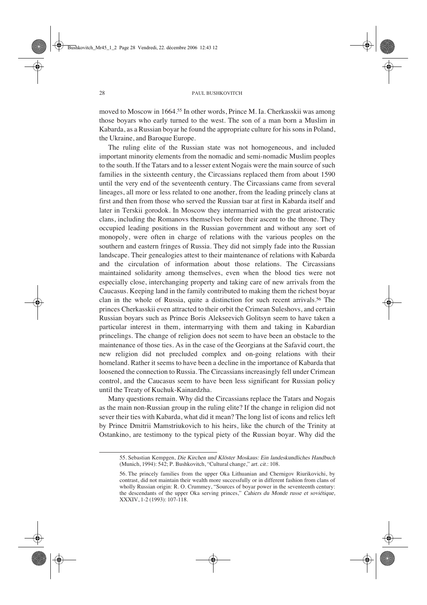moved to Moscow in 1664.55 In other words, Prince M. Ia. Cherkasskii was among those boyars who early turned to the west. The son of a man born a Muslim in Kabarda, as a Russian boyar he found the appropriate culture for his sons in Poland, the Ukraine, and Baroque Europe.

The ruling elite of the Russian state was not homogeneous, and included important minority elements from the nomadic and semi-nomadic Muslim peoples to the south. If the Tatars and to a lesser extent Nogais were the main source of such families in the sixteenth century, the Circassians replaced them from about 1590 until the very end of the seventeenth century. The Circassians came from several lineages, all more or less related to one another, from the leading princely clans at first and then from those who served the Russian tsar at first in Kabarda itself and later in Terskii gorodok. In Moscow they intermarried with the great aristocratic clans, including the Romanovs themselves before their ascent to the throne. They occupied leading positions in the Russian government and without any sort of monopoly, were often in charge of relations with the various peoples on the southern and eastern fringes of Russia. They did not simply fade into the Russian landscape. Their genealogies attest to their maintenance of relations with Kabarda and the circulation of information about those relations. The Circassians maintained solidarity among themselves, even when the blood ties were not especially close, interchanging property and taking care of new arrivals from the Caucasus. Keeping land in the family contributed to making them the richest boyar clan in the whole of Russia, quite a distinction for such recent arrivals.56 The princes Cherkasskii even attracted to their orbit the Crimean Suleshovs, and certain Russian boyars such as Prince Boris Alekseevich Golitsyn seem to have taken a particular interest in them, intermarrying with them and taking in Kabardian princelings. The change of religion does not seem to have been an obstacle to the maintenance of those ties. As in the case of the Georgians at the Safavid court, the new religion did not precluded complex and on-going relations with their homeland. Rather it seems to have been a decline in the importance of Kabarda that loosened the connection to Russia. The Circassians increasingly fell under Crimean control, and the Caucasus seem to have been less significant for Russian policy until the Treaty of Kuchuk-Kainardzha.

Many questions remain. Why did the Circassians replace the Tatars and Nogais as the main non-Russian group in the ruling elite? If the change in religion did not sever their ties with Kabarda, what did it mean? The long list of icons and relics left by Prince Dmitrii Mamstriukovich to his heirs, like the church of the Trinity at Ostankino, are testimony to the typical piety of the Russian boyar. Why did the

<sup>55.</sup> Sebastian Kempgen, Die Kirchen und Klöster Moskaus: Ein landeskundliches Handbuch (Munich, 1994): 542; P. Bushkovitch, "Cultural change," art. cit.: 108.

<sup>56.</sup> The princely families from the upper Oka Lithuanian and Chernigov Riurikovichi, by contrast, did not maintain their wealth more successfully or in different fashion from clans of wholly Russian origin: R. O. Crummey, "Sources of boyar power in the seventeenth century: the descendants of the upper Oka serving princes," Cahiers du Monde russe et soviétique, XXXIV, 1-2 (1993): 107-118.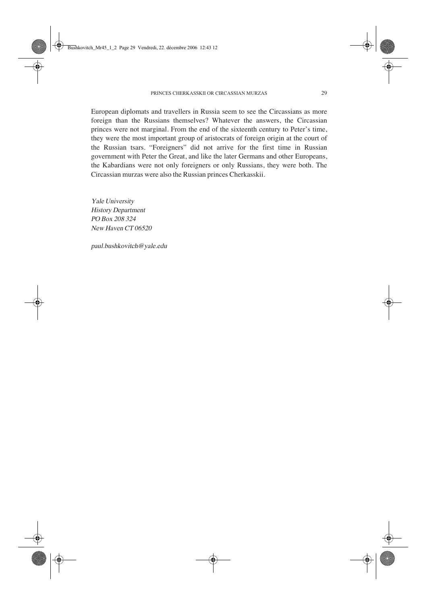European diplomats and travellers in Russia seem to see the Circassians as more foreign than the Russians themselves? Whatever the answers, the Circassian princes were not marginal. From the end of the sixteenth century to Peter's time, they were the most important group of aristocrats of foreign origin at the court of the Russian tsars. "Foreigners" did not arrive for the first time in Russian government with Peter the Great, and like the later Germans and other Europeans, the Kabardians were not only foreigners or only Russians, they were both. The Circassian murzas were also the Russian princes Cherkasskii.

Yale University History Department PO Box 208 324 New Haven CT 06520

paul.bushkovitch@yale.edu